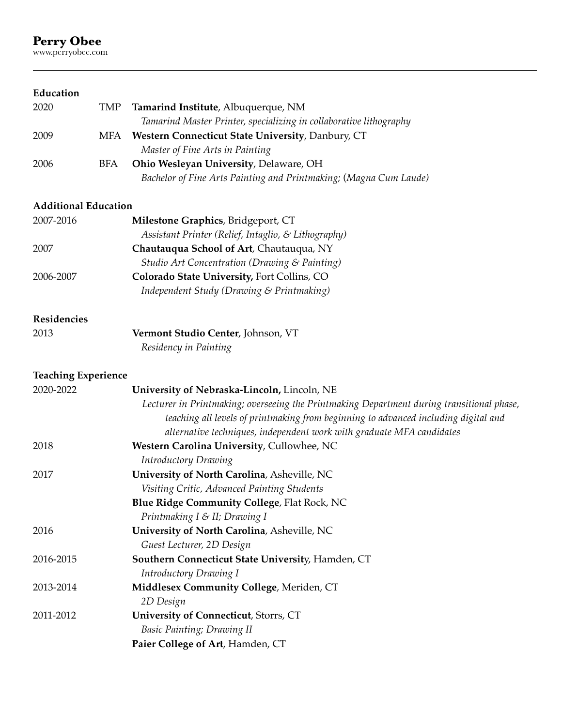# **Perry Obee**<br>www.perryobee.com

# **Education**

| 2020 | TMP | Tamarind Institute, Albuquerque, NM                                |
|------|-----|--------------------------------------------------------------------|
|      |     | Tamarind Master Printer, specializing in collaborative lithography |
| 2009 | MFA | <b>Western Connecticut State University, Danbury, CT</b>           |
|      |     | Master of Fine Arts in Painting                                    |
| 2006 | BFA | <b>Ohio Wesleyan University, Delaware, OH</b>                      |
|      |     | Bachelor of Fine Arts Painting and Printmaking; (Magna Cum Laude)  |

## **Additional Education**

| 2007-2016 | Milestone Graphics, Bridgeport, CT                  |
|-----------|-----------------------------------------------------|
|           | Assistant Printer (Relief, Intaglio, & Lithography) |
| 2007      | Chautauqua School of Art, Chautauqua, NY            |
|           | Studio Art Concentration (Drawing & Painting)       |
| 2006-2007 | Colorado State University, Fort Collins, CO         |
|           | Independent Study (Drawing & Printmaking)           |

# **Residencies**

| 2013 | Vermont Studio Center, Johnson, VT |
|------|------------------------------------|
|      | Residency in Painting              |

# **Teaching Experience**

| 2020-2022 | University of Nebraska-Lincoln, Lincoln, NE                                               |
|-----------|-------------------------------------------------------------------------------------------|
|           | Lecturer in Printmaking; overseeing the Printmaking Department during transitional phase, |
|           | teaching all levels of printmaking from beginning to advanced including digital and       |
|           | alternative techniques, independent work with graduate MFA candidates                     |
| 2018      | Western Carolina University, Cullowhee, NC                                                |
|           | <b>Introductory Drawing</b>                                                               |
| 2017      | University of North Carolina, Asheville, NC                                               |
|           | Visiting Critic, Advanced Painting Students                                               |
|           | <b>Blue Ridge Community College, Flat Rock, NC</b>                                        |
|           | Printmaking I & II; Drawing I                                                             |
| 2016      | University of North Carolina, Asheville, NC                                               |
|           | Guest Lecturer, 2D Design                                                                 |
| 2016-2015 | Southern Connecticut State University, Hamden, CT                                         |
|           | Introductory Drawing I                                                                    |
| 2013-2014 | Middlesex Community College, Meriden, CT                                                  |
|           | 2D Design                                                                                 |
| 2011-2012 | University of Connecticut, Storrs, CT                                                     |
|           | Basic Painting; Drawing II                                                                |
|           | Paier College of Art, Hamden, CT                                                          |
|           |                                                                                           |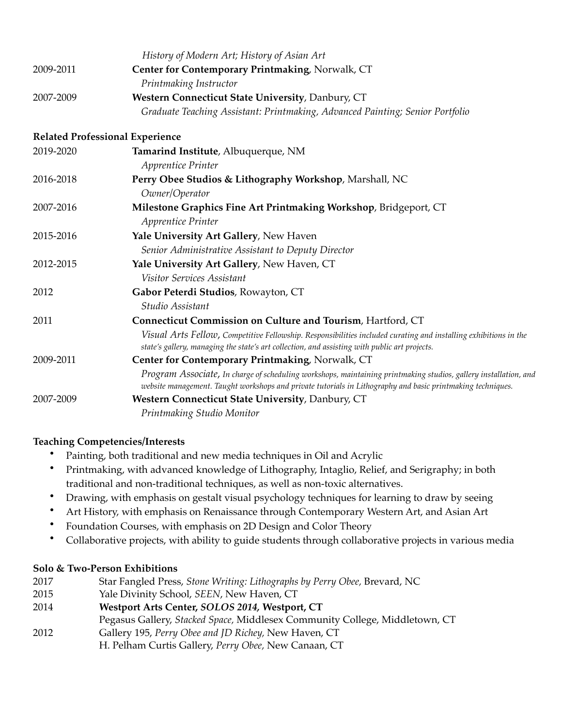|           | History of Modern Art; History of Asian Art                                                                                                                                                                                     |
|-----------|---------------------------------------------------------------------------------------------------------------------------------------------------------------------------------------------------------------------------------|
| 2009-2011 | Center for Contemporary Printmaking, Norwalk, CT                                                                                                                                                                                |
|           | Printmaking Instructor                                                                                                                                                                                                          |
| 2007-2009 | Western Connecticut State University, Danbury, CT                                                                                                                                                                               |
|           | Graduate Teaching Assistant: Printmaking, Advanced Painting; Senior Portfolio                                                                                                                                                   |
|           | <b>Related Professional Experience</b>                                                                                                                                                                                          |
| 2019-2020 | Tamarind Institute, Albuquerque, NM                                                                                                                                                                                             |
|           | Apprentice Printer                                                                                                                                                                                                              |
| 2016-2018 | Perry Obee Studios & Lithography Workshop, Marshall, NC                                                                                                                                                                         |
|           | Owner/Operator                                                                                                                                                                                                                  |
| 2007-2016 | Milestone Graphics Fine Art Printmaking Workshop, Bridgeport, CT                                                                                                                                                                |
|           | Apprentice Printer                                                                                                                                                                                                              |
| 2015-2016 | Yale University Art Gallery, New Haven                                                                                                                                                                                          |
|           | Senior Administrative Assistant to Deputy Director                                                                                                                                                                              |
| 2012-2015 | Yale University Art Gallery, New Haven, CT                                                                                                                                                                                      |
|           | Visitor Services Assistant                                                                                                                                                                                                      |
| 2012      | Gabor Peterdi Studios, Rowayton, CT                                                                                                                                                                                             |
|           | Studio Assistant                                                                                                                                                                                                                |
| 2011      | Connecticut Commission on Culture and Tourism, Hartford, CT                                                                                                                                                                     |
|           | Visual Arts Fellow, Competitive Fellowship. Responsibilities included curating and installing exhibitions in the<br>state's gallery, managing the state's art collection, and assisting with public art projects.               |
| 2009-2011 | Center for Contemporary Printmaking, Norwalk, CT                                                                                                                                                                                |
|           | Program Associate, In charge of scheduling workshops, maintaining printmaking studios, gallery installation, and<br>website management. Taught workshops and private tutorials in Lithography and basic printmaking techniques. |
| 2007-2009 | Western Connecticut State University, Danbury, CT                                                                                                                                                                               |
|           | Printmaking Studio Monitor                                                                                                                                                                                                      |

## **Teaching Competencies/Interests**

- Painting, both traditional and new media techniques in Oil and Acrylic
- Printmaking, with advanced knowledge of Lithography, Intaglio, Relief, and Serigraphy; in both traditional and non-traditional techniques, as well as non-toxic alternatives.
- Drawing, with emphasis on gestalt visual psychology techniques for learning to draw by seeing
- Art History, with emphasis on Renaissance through Contemporary Western Art, and Asian Art
- Foundation Courses, with emphasis on 2D Design and Color Theory
- Collaborative projects, with ability to guide students through collaborative projects in various media

### **Solo & Two-Person Exhibitions**

- 2017 Star Fangled Press, *Stone Writing: Lithographs by Perry Obee,* Brevard, NC
- 2015 Yale Divinity School, *SEEN*, New Haven, CT
- 2014 **Westport Arts Center,** *SOLOS 2014,* **Westport, CT**
- Pegasus Gallery, *Stacked Space,* Middlesex Community College, Middletown, CT
- 2012 Gallery 195, *Perry Obee and JD Richey,* New Haven, CT H. Pelham Curtis Gallery, *Perry Obee,* New Canaan, CT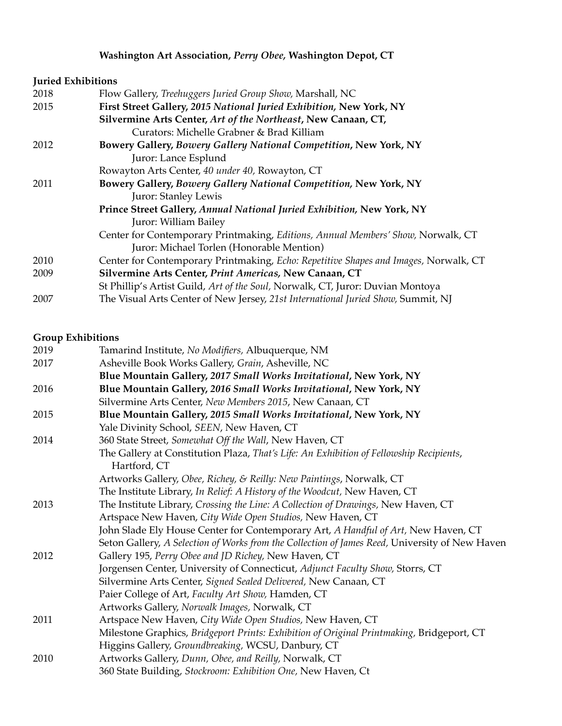# **Washington Art Association,** *Perry Obee,* **Washington Depot, CT**

## **Juried Exhibitions**

| 2018 | Flow Gallery, Treehuggers Juried Group Show, Marshall, NC                            |
|------|--------------------------------------------------------------------------------------|
| 2015 | First Street Gallery, 2015 National Juried Exhibition, New York, NY                  |
|      | Silvermine Arts Center, Art of the Northeast, New Canaan, CT,                        |
|      | Curators: Michelle Grabner & Brad Killiam                                            |
| 2012 | Bowery Gallery, Bowery Gallery National Competition, New York, NY                    |
|      | Juror: Lance Esplund                                                                 |
|      | Rowayton Arts Center, 40 under 40, Rowayton, CT                                      |
| 2011 | Bowery Gallery, Bowery Gallery National Competition, New York, NY                    |
|      | Juror: Stanley Lewis                                                                 |
|      | Prince Street Gallery, Annual National Juried Exhibition, New York, NY               |
|      | Juror: William Bailey                                                                |
|      | Center for Contemporary Printmaking, Editions, Annual Members' Show, Norwalk, CT     |
|      | Juror: Michael Torlen (Honorable Mention)                                            |
| 2010 | Center for Contemporary Printmaking, Echo: Repetitive Shapes and Images, Norwalk, CT |
| 2009 | Silvermine Arts Center, Print Americas, New Canaan, CT                               |
|      | St Phillip's Artist Guild, Art of the Soul, Norwalk, CT, Juror: Duvian Montoya       |
| 2007 | The Visual Arts Center of New Jersey, 21st International Juried Show, Summit, NJ     |

## **Group Exhibitions**

| 2019 | Tamarind Institute, No Modifiers, Albuquerque, NM                                              |
|------|------------------------------------------------------------------------------------------------|
| 2017 | Asheville Book Works Gallery, Grain, Asheville, NC                                             |
|      | Blue Mountain Gallery, 2017 Small Works Invitational, New York, NY                             |
| 2016 | Blue Mountain Gallery, 2016 Small Works Invitational, New York, NY                             |
|      | Silvermine Arts Center, New Members 2015, New Canaan, CT                                       |
| 2015 | Blue Mountain Gallery, 2015 Small Works Invitational, New York, NY                             |
|      | Yale Divinity School, SEEN, New Haven, CT                                                      |
| 2014 | 360 State Street, Somewhat Off the Wall, New Haven, CT                                         |
|      | The Gallery at Constitution Plaza, That's Life: An Exhibition of Fellowship Recipients,        |
|      | Hartford, CT                                                                                   |
|      | Artworks Gallery, Obee, Richey, & Reilly: New Paintings, Norwalk, CT                           |
|      | The Institute Library, In Relief: A History of the Woodcut, New Haven, CT                      |
| 2013 | The Institute Library, Crossing the Line: A Collection of Drawings, New Haven, CT              |
|      | Artspace New Haven, City Wide Open Studios, New Haven, CT                                      |
|      | John Slade Ely House Center for Contemporary Art, A Handful of Art, New Haven, CT              |
|      | Seton Gallery, A Selection of Works from the Collection of James Reed, University of New Haven |
| 2012 | Gallery 195, Perry Obee and JD Richey, New Haven, CT                                           |
|      | Jorgensen Center, University of Connecticut, Adjunct Faculty Show, Storrs, CT                  |
|      | Silvermine Arts Center, Signed Sealed Delivered, New Canaan, CT                                |
|      | Paier College of Art, Faculty Art Show, Hamden, CT                                             |
|      | Artworks Gallery, Norwalk Images, Norwalk, CT                                                  |
| 2011 | Artspace New Haven, City Wide Open Studios, New Haven, CT                                      |
|      | Milestone Graphics, Bridgeport Prints: Exhibition of Original Printmaking, Bridgeport, CT      |
|      | Higgins Gallery, Groundbreaking, WCSU, Danbury, CT                                             |
| 2010 | Artworks Gallery, Dunn, Obee, and Reilly, Norwalk, CT                                          |
|      | 360 State Building, Stockroom: Exhibition One, New Haven, Ct                                   |